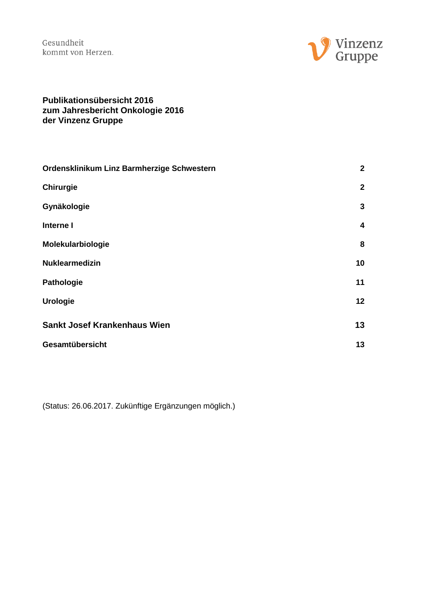

#### **Publikationsübersicht 2016 zum Jahresbericht Onkologie 2016 der Vinzenz Gruppe**

| Ordensklinikum Linz Barmherzige Schwestern | $\mathbf{2}$            |
|--------------------------------------------|-------------------------|
| <b>Chirurgie</b>                           | $\mathbf{2}$            |
| Gynäkologie                                | 3                       |
| Interne I                                  | $\overline{\mathbf{4}}$ |
| Molekularbiologie                          | 8                       |
| <b>Nuklearmedizin</b>                      | 10                      |
| <b>Pathologie</b>                          | 11                      |
| <b>Urologie</b>                            | 12                      |
| <b>Sankt Josef Krankenhaus Wien</b>        | 13                      |
| Gesamtübersicht                            | 13                      |

(Status: 26.06.2017. Zukünftige Ergänzungen möglich.)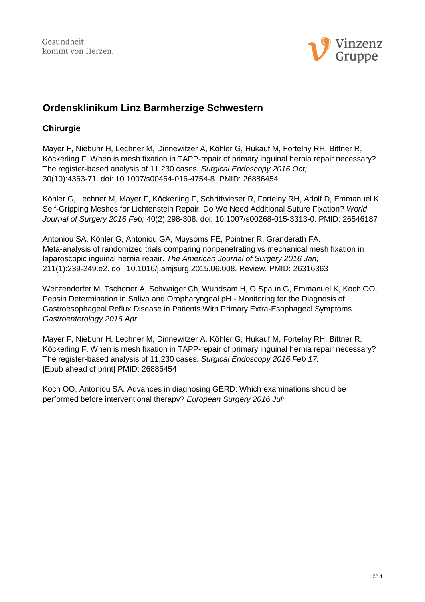

# <span id="page-1-0"></span>**Ordensklinikum Linz Barmherzige Schwestern**

# <span id="page-1-1"></span>**Chirurgie**

Mayer F, Niebuhr H, Lechner M, Dinnewitzer A, Köhler G, Hukauf M, Fortelny RH, Bittner R, Köckerling F. When is mesh fixation in TAPP-repair of primary inguinal hernia repair necessary? The register-based analysis of 11,230 cases. *Surgical Endoscopy 2016 Oct;* 30(10):4363-71. doi: 10.1007/s00464-016-4754-8. PMID: 26886454

Köhler G, Lechner M, Mayer F, Köckerling F, Schrittwieser R, Fortelny RH, Adolf D, Emmanuel K. Self-Gripping Meshes for Lichtenstein Repair. Do We Need Additional Suture Fixation? *World Journal of Surgery 2016 Feb;* 40(2):298-308. doi: 10.1007/s00268-015-3313-0. PMID: 26546187

Antoniou SA, Köhler G, Antoniou GA, Muysoms FE, Pointner R, Granderath FA. Meta-analysis of randomized trials comparing nonpenetrating vs mechanical mesh fixation in laparoscopic inguinal hernia repair. *The American Journal of Surgery 2016 Jan;* 211(1):239-249.e2. doi: 10.1016/j.amjsurg.2015.06.008. Review. PMID: 26316363

Weitzendorfer M, Tschoner A, Schwaiger Ch, Wundsam H, O Spaun G, Emmanuel K, Koch OO, Pepsin Determination in Saliva and Oropharyngeal pH - Monitoring for the Diagnosis of Gastroesophageal Reflux Disease in Patients With Primary Extra-Esophageal Symptoms *Gastroenterology 2016 Apr*

Mayer F, Niebuhr H, Lechner M, Dinnewitzer A, Köhler G, Hukauf M, Fortelny RH, Bittner R, Köckerling F. When is mesh fixation in TAPP-repair of primary inguinal hernia repair necessary? The register-based analysis of 11,230 cases. *Surgical Endoscopy 2016 Feb 17.* [Epub ahead of print] PMID: 26886454

Koch OO, Antoniou SA. Advances in diagnosing GERD: Which examinations should be performed before interventional therapy? *European Surgery 2016 Jul;*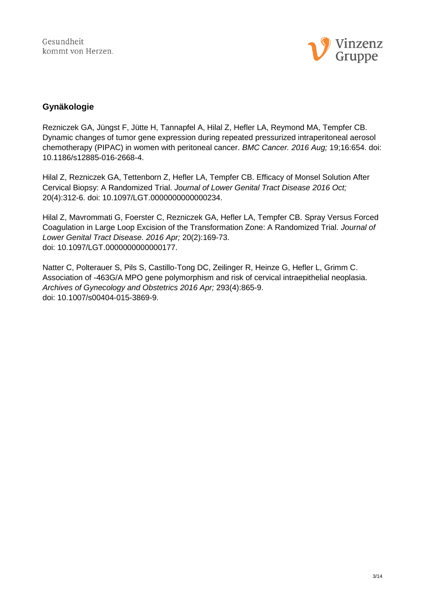

# <span id="page-2-0"></span>**Gynäkologie**

Rezniczek GA, Jüngst F, Jütte H, Tannapfel A, Hilal Z, Hefler LA, Reymond MA, Tempfer CB. Dynamic changes of tumor gene expression during repeated pressurized intraperitoneal aerosol chemotherapy (PIPAC) in women with peritoneal cancer. *BMC Cancer. 2016 Aug;* 19;16:654. doi: 10.1186/s12885-016-2668-4.

Hilal Z, Rezniczek GA, Tettenborn Z, Hefler LA, Tempfer CB. Efficacy of Monsel Solution After Cervical Biopsy: A Randomized Trial. *Journal of Lower Genital Tract Disease 2016 Oct;* 20(4):312-6. doi: 10.1097/LGT.0000000000000234.

Hilal Z, Mavrommati G, Foerster C, Rezniczek GA, Hefler LA, Tempfer CB. Spray Versus Forced Coagulation in Large Loop Excision of the Transformation Zone: A Randomized Trial. *Journal of Lower Genital Tract Disease. 2016 Apr;* 20(2):169-73. doi: 10.1097/LGT.0000000000000177.

Natter C, Polterauer S, Pils S, Castillo-Tong DC, Zeilinger R, Heinze G, Hefler L, Grimm C. Association of -463G/A MPO gene polymorphism and risk of cervical intraepithelial neoplasia. *Archives of Gynecology and Obstetrics 2016 Apr;* 293(4):865-9. doi: 10.1007/s00404-015-3869-9.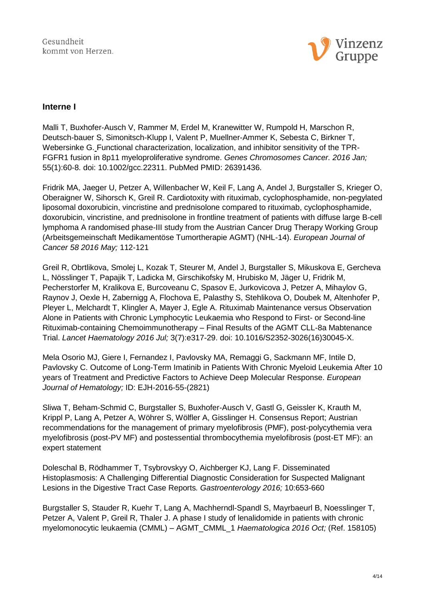

#### <span id="page-3-0"></span>**Interne I**

Malli T, Buxhofer-Ausch V, Rammer M, Erdel M, Kranewitter W, Rumpold H, Marschon R, Deutsch-bauer S, Simonitsch-Klupp I, Valent P, Muellner-Ammer K, Sebesta C, Birkner T, Webersinke G. Functional characterization, localization, and inhibitor sensitivity of the TPR-FGFR1 fusion in 8p11 myeloproliferative syndrome. *Genes Chromosomes Cancer. 2016 Jan;* 55(1):60-8. doi: 10.1002/gcc.22311. PubMed PMID: 26391436.

Fridrik MA, Jaeger U, Petzer A, Willenbacher W, Keil F, Lang A, Andel J, Burgstaller S, Krieger O, Oberaigner W, Sihorsch K, Greil R. Cardiotoxity with rituximab, cyclophosphamide, non-pegylated liposomal doxorubicin, vincristine and prednisolone compared to rituximab, cyclophosphamide, doxorubicin, vincristine, and prednisolone in frontline treatment of patients with diffuse large B-cell lymphoma A randomised phase-III study from the Austrian Cancer Drug Therapy Working Group (Arbeitsgemeinschaft Medikamentöse Tumortherapie AGMT) (NHL-14). *European Journal of Cancer 58 2016 May;* 112-121

Greil R, Obrtlikova, Smolej L, Kozak T, Steurer M, Andel J, Burgstaller S, Mikuskova E, Gercheva L, Nösslinger T, Papajik T, Ladicka M, Girschikofsky M, Hrubisko M, Jäger U, Fridrik M, Pecherstorfer M, Kralikova E, Burcoveanu C, Spasov E, Jurkovicova J, Petzer A, Mihaylov G, Raynov J, Oexle H, Zabernigg A, Flochova E, Palasthy S, Stehlikova O, Doubek M, Altenhofer P, Pleyer L, Melchardt T, Klingler A, Mayer J, Egle A. Rituximab Maintenance versus Observation Alone in Patients with Chronic Lymphocytic Leukaemia who Respond to First- or Second-line Rituximab-containing Chemoimmunotherapy – Final Results of the AGMT CLL-8a Mabtenance Trial. *Lancet Haematology 2016 Jul;* 3(7):e317-29. doi: 10.1016/S2352-3026(16)30045-X.

Mela Osorio MJ, Giere I, Fernandez I, Pavlovsky MA, Remaggi G, Sackmann MF, Intile D, Pavlovsky C. Outcome of Long-Term Imatinib in Patients With Chronic Myeloid Leukemia After 10 years of Treatment and Predictive Factors to Achieve Deep Molecular Response. *European Journal of Hematology;* ID: EJH-2016-55-(2821)

Sliwa T, Beham-Schmid C, Burgstaller S, Buxhofer-Ausch V, Gastl G, Geissler K, Krauth M, Krippl P, Lang A, Petzer A, Wöhrer S, Wölfler A, Gisslinger H. Consensus Report; Austrian recommendations for the management of primary myelofibrosis (PMF), post-polycythemia vera myelofibrosis (post-PV MF) and postessential thrombocythemia myelofibrosis (post-ET MF): an expert statement

Doleschal B, Rödhammer T, Tsybrovskyy O, Aichberger KJ, Lang F. Disseminated Histoplasmosis: A Challenging Differential Diagnostic Consideration for Suspected Malignant Lesions in the Digestive Tract Case Reports*. Gastroenterology 2016;* 10:653-660

Burgstaller S, Stauder R, Kuehr T, Lang A, Machherndl-Spandl S, Mayrbaeurl B, Noesslinger T, Petzer A, Valent P, Greil R, Thaler J. A phase I study of lenalidomide in patients with chronic myelomonocytic leukaemia (CMML) – AGMT\_CMML\_1 *Haematologica 2016 Oct;* (Ref. 158105)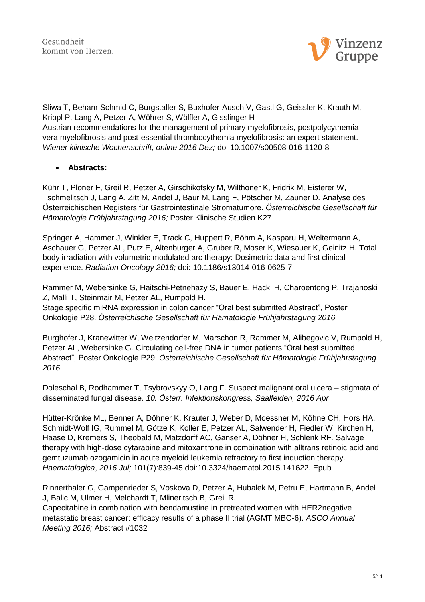

Sliwa T, Beham-Schmid C, Burgstaller S, Buxhofer-Ausch V, Gastl G, Geissler K, Krauth M, Krippl P, Lang A, Petzer A, Wöhrer S, Wölfler A, Gisslinger H Austrian recommendations for the management of primary myelofibrosis, postpolycythemia vera myelofibrosis and post-essential thrombocythemia myelofibrosis: an expert statement. *Wiener klinische Wochenschrift, online 2016 Dez;* doi 10.1007/s00508-016-1120-8

#### **Abstracts:**

Kühr T, Ploner F, Greil R, Petzer A, Girschikofsky M, Wilthoner K, Fridrik M, Eisterer W, Tschmelitsch J, Lang A, Zitt M, Andel J, Baur M, Lang F, Pötscher M, Zauner D. Analyse des Österreichischen Registers für Gastrointestinale Stromatumore. *Österreichische Gesellschaft für Hämatologie Frühjahrstagung 2016;* Poster Klinische Studien K27

Springer A, Hammer J, Winkler E, Track C, Huppert R, Böhm A, Kasparu H, Weltermann A, Aschauer G, Petzer AL, Putz E, Altenburger A, Gruber R, Moser K, Wiesauer K, Geinitz H. Total body irradiation with volumetric modulated arc therapy: Dosimetric data and first clinical experience. *Radiation Oncology 2016;* doi: 10.1186/s13014-016-0625-7

Rammer M, Webersinke G, Haitschi-Petnehazy S, Bauer E, Hackl H, Charoentong P, Trajanoski Z, Malli T, Steinmair M, Petzer AL, Rumpold H. Stage specific miRNA expression in colon cancer "Oral best submitted Abstract", Poster Onkologie P28. *Österreichische Gesellschaft für Hämatologie Frühjahrstagung 2016*

Burghofer J, Kranewitter W, Weitzendorfer M, Marschon R, Rammer M, Alibegovic V, Rumpold H, Petzer AL, Webersinke G. Circulating cell-free DNA in tumor patients "Oral best submitted Abstract", Poster Onkologie P29. *Österreichische Gesellschaft für Hämatologie Frühjahrstagung 2016*

Doleschal B, Rodhammer T, Tsybrovskyy O, Lang F. Suspect malignant oral ulcera – stigmata of disseminated fungal disease. *10. Österr. Infektionskongress, Saalfelden, 2016 Apr*

Hütter-Krönke ML, Benner A, Döhner K, Krauter J, Weber D, Moessner M, Köhne CH, Hors HA, Schmidt-Wolf IG, Rummel M, Götze K, Koller E, Petzer AL, Salwender H, Fiedler W, Kirchen H, Haase D, Kremers S, Theobald M, Matzdorff AC, Ganser A, Döhner H, Schlenk RF. Salvage therapy with high-dose cytarabine and mitoxantrone in combination with alltrans retinoic acid and gemtuzumab ozogamicin in acute myeloid leukemia refractory to first induction therapy. *Haematologica*, *2016 Jul;* 101(7):839-45 doi:10.3324/haematol.2015.141622. Epub

Rinnerthaler G, Gampenrieder S, Voskova D, Petzer A, Hubalek M, Petru E, Hartmann B, Andel J, Balic M, Ulmer H, Melchardt T, Mlineritsch B, Greil R.

Capecitabine in combination with bendamustine in pretreated women with HER2negative metastatic breast cancer: efficacy results of a phase II trial (AGMT MBC-6). *ASCO Annual Meeting 2016;* Abstract #1032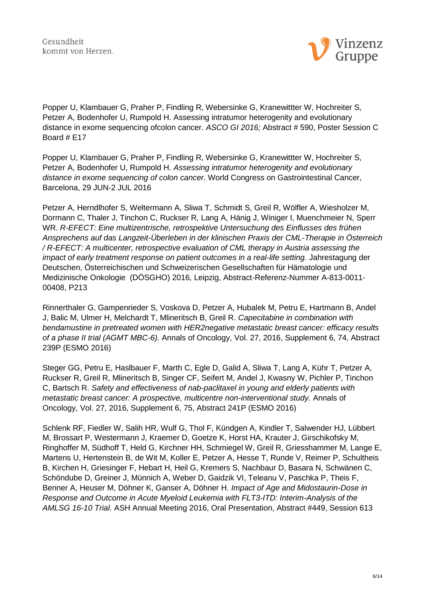

Popper U, Klambauer G, Praher P, Findling R, Webersinke G, Kranewittter W, Hochreiter S, Petzer A, Bodenhofer U, Rumpold H. Assessing intratumor heterogenity and evolutionary distance in exome sequencing ofcolon cancer. *ASCO GI 2016;* Abstract # 590, Poster Session C Board # E17

Popper U, Klambauer G, Praher P, Findling R, Webersinke G, Kranewittter W, Hochreiter S, Petzer A, Bodenhofer U, Rumpold H. *Assessing intratumor heterogenity and evolutionary distance in exome sequencing of colon cancer.* World Congress on Gastrointestinal Cancer, Barcelona, 29 JUN-2 JUL 2016

Petzer A, Herndlhofer S, Weltermann A, Sliwa T, Schmidt S, Greil R, Wölfler A, Wiesholzer M, Dormann C, Thaler J, Tinchon C, Ruckser R, Lang A, Hänig J, Winiger I, Muenchmeier N, Sperr WR. *R-EFECT: Eine multizentrische, retrospektive Untersuchung des Einflusses des frühen Ansprechens auf das Langzeit-Überleben in der klinischen Praxis der CML-Therapie in Österreich / R-EFECT: A multicenter, retrospective evaluation of CML therapy in Austria assessing the impact of early treatment response on patient outcomes in a real-life setting.* Jahrestagung der Deutschen, Österreichischen und Schweizerischen Gesellschaften für Hämatologie und Medizinische Onkologie (DÖSGHO) 2016, Leipzig, Abstract-Referenz-Nummer A-813-0011- 00408, P213

Rinnerthaler G, Gampenrieder S, Voskova D, Petzer A, Hubalek M, Petru E, Hartmann B, Andel J, Balic M, Ulmer H, Melchardt T, Mlineritsch B, Greil R. *Capecitabine in combination with bendamustine in pretreated women with HER2negative metastatic breast cancer: efficacy results of a phase II trial (AGMT MBC-6).* Annals of Oncology, Vol. 27, 2016, Supplement 6, 74, Abstract 239P (ESMO 2016)

Steger GG, Petru E, Haslbauer F, Marth C, Egle D, Galid A, Sliwa T, Lang A, Kühr T, Petzer A, Ruckser R, Greil R, Mlineritsch B, Singer CF, Seifert M, Andel J, Kwasny W, Pichler P, Tinchon C, Bartsch R. *Safety and effectiveness of nab-paclitaxel in young and elderly patients with metastatic breast cancer: A prospective, multicentre non-interventional study.* Annals of Oncology, Vol. 27, 2016, Supplement 6, 75, Abstract 241P (ESMO 2016)

Schlenk RF, Fiedler W, Salih HR, Wulf G, Thol F, Kündgen A, Kindler T, Salwender HJ, Lübbert M, Brossart P, Westermann J, Kraemer D, Goetze K, Horst HA, Krauter J, Girschikofsky M, Ringhoffer M, Südhoff T, Held G, Kirchner HH, Schmiegel W, Greil R, Griesshammer M, Lange E, Martens U, Hertenstein B, de Wit M, Koller E, Petzer A, Hesse T, Runde V, Reimer P, Schultheis B, Kirchen H, Griesinger F, Hebart H, Heil G, Kremers S, Nachbaur D, Basara N, Schwänen C, Schöndube D, Greiner J, Münnich A, Weber D, Gaidzik VI, Teleanu V, Paschka P, Theis F, Benner A, Heuser M, Döhner K, Ganser A, Döhner H. *Impact of Age and Midostaurin-Dose in Response and Outcome in Acute Myeloid Leukemia with FLT3-ITD: Interim-Analysis of the AMLSG 16-10 Trial.* ASH Annual Meeting 2016, Oral Presentation, Abstract #449, Session 613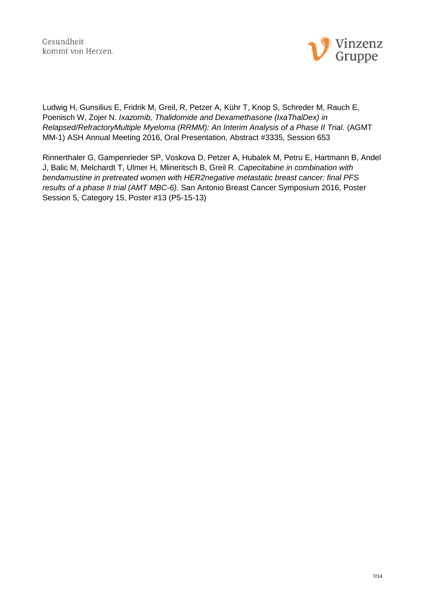

Ludwig H, Gunsilius E, Fridrik M, Greil, R, Petzer A, Kühr T, Knop S, Schreder M, Rauch E, Poenisch W, Zojer N. *Ixazomib, Thalidomide and Dexamethasone (IxaThalDex) in Relapsed/RefractoryMultiple Myeloma (RRMM): An Interim Analysis of a Phase II Trial*. (AGMT MM-1) ASH Annual Meeting 2016, Oral Presentation, Abstract #3335, Session 653

Rinnerthaler G, Gampenrieder SP, Voskova D, Petzer A, Hubalek M, Petru E, Hartmann B, Andel J, Balic M, Melchardt T, Ulmer H, Mlineritsch B, Greil R. *Capecitabine in combination with bendamustine in pretreated women with HER2negative metastatic breast cancer: final PFS results of a phase II trial (AMT MBC-6).* San Antonio Breast Cancer Symposium 2016, Poster Session 5, Category 15, Poster #13 (P5-15-13)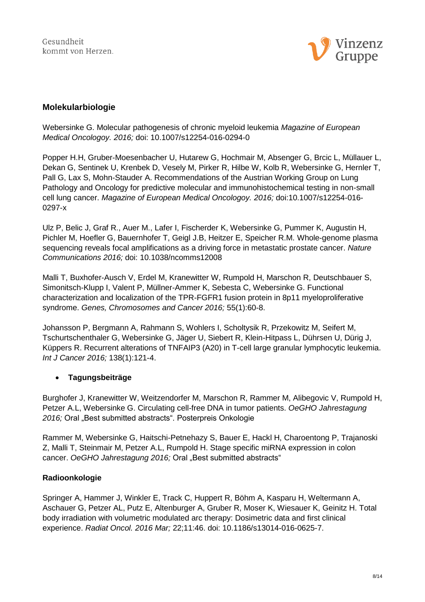

# <span id="page-7-0"></span>**Molekularbiologie**

Webersinke G. Molecular pathogenesis of chronic myeloid leukemia *Magazine of European Medical Oncologoy. 2016;* doi: 10.1007/s12254-016-0294-0

Popper H.H, Gruber-Moesenbacher U, Hutarew G, Hochmair M, Absenger G, Brcic L, Müllauer L, Dekan G, Sentinek U, Krenbek D, Vesely M, Pirker R, Hilbe W, Kolb R, Webersinke G, Hernler T, Pall G, Lax S, Mohn-Stauder A. Recommendations of the Austrian Working Group on Lung Pathology and Oncology for predictive molecular and immunohistochemical testing in non-small cell lung cancer. *Magazine of European Medical Oncologoy. 2016;* doi:10.1007/s12254-016- 0297-x

Ulz P, Belic J, Graf R., Auer M., Lafer I, Fischerder K, Webersinke G, Pummer K, Augustin H, Pichler M, Hoefler G, Bauernhofer T, Geigl J.B, Heitzer E, Speicher R.M. Whole-genome plasma sequencing reveals focal amplifications as a driving force in metastatic prostate cancer. *Nature Communications 2016;* doi: 10.1038/ncomms12008

Malli T, Buxhofer-Ausch V, Erdel M, Kranewitter W, Rumpold H, Marschon R, Deutschbauer S, Simonitsch-Klupp I, Valent P, Müllner-Ammer K, Sebesta C, Webersinke G. Functional characterization and localization of the TPR-FGFR1 fusion protein in 8p11 myeloproliferative syndrome. *Genes, Chromosomes and Cancer 2016;* 55(1):60-8.

Johansson P, Bergmann A, Rahmann S, Wohlers I, Scholtysik R, Przekowitz M, Seifert M, Tschurtschenthaler G, Webersinke G, Jäger U, Siebert R, Klein-Hitpass L, Dührsen U, Dürig J, Küppers R. Recurrent alterations of TNFAIP3 (A20) in T-cell large granular lymphocytic leukemia. *Int J Cancer 2016;* 138(1):121-4.

# **Tagungsbeiträge**

Burghofer J, Kranewitter W, Weitzendorfer M, Marschon R, Rammer M, Alibegovic V, Rumpold H, Petzer A.L, Webersinke G. Circulating cell-free DNA in tumor patients. *OeGHO Jahrestagung*  2016; Oral "Best submitted abstracts". Posterpreis Onkologie

Rammer M, Webersinke G, Haitschi-Petnehazy S, Bauer E, Hackl H, Charoentong P, Trajanoski Z, Malli T, Steinmair M, Petzer A.L, Rumpold H. Stage specific miRNA expression in colon cancer. OeGHO Jahrestagung 2016; Oral "Best submitted abstracts"

#### **Radioonkologie**

Springer A, Hammer J, Winkler E, Track C, Huppert R, Böhm A, Kasparu H, Weltermann A, Aschauer G, Petzer AL, Putz E, Altenburger A, Gruber R, Moser K, Wiesauer K, Geinitz H. Total body irradiation with volumetric modulated arc therapy: Dosimetric data and first clinical experience. *Radiat Oncol. 2016 Mar;* 22;11:46. doi: 10.1186/s13014-016-0625-7.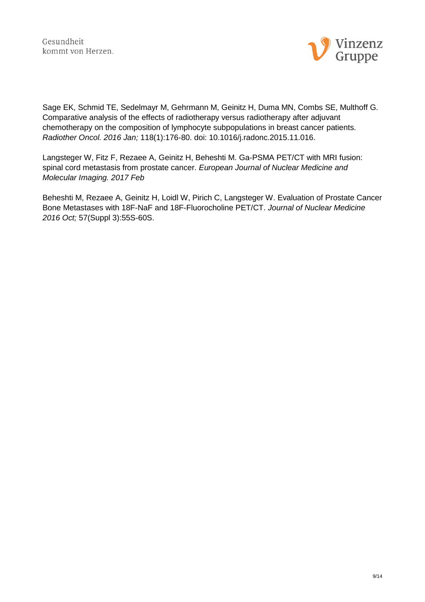

Sage EK, Schmid TE, Sedelmayr M, Gehrmann M, Geinitz H, Duma MN, Combs SE, Multhoff G. Comparative analysis of the effects of radiotherapy versus radiotherapy after adjuvant chemotherapy on the composition of lymphocyte subpopulations in breast cancer patients. *Radiother Oncol. 2016 Jan;* 118(1):176-80. doi: 10.1016/j.radonc.2015.11.016.

Langsteger W, Fitz F, Rezaee A, Geinitz H, Beheshti M. Ga-PSMA PET/CT with MRI fusion: spinal cord metastasis from prostate cancer. *European Journal of Nuclear Medicine and Molecular Imaging. 2017 Feb*

Beheshti M, Rezaee A, Geinitz H, Loidl W, Pirich C, Langsteger W. Evaluation of Prostate Cancer Bone Metastases with 18F-NaF and 18F-Fluorocholine PET/CT. *Journal of Nuclear Medicine 2016 Oct;* 57(Suppl 3):55S-60S.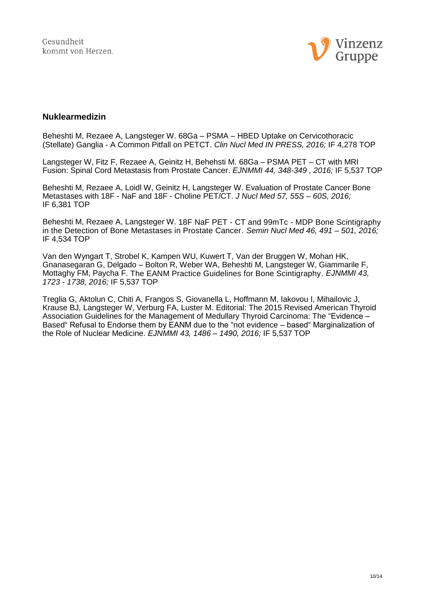

#### <span id="page-9-0"></span>**Nuklearmedizin**

Beheshti M, Rezaee A, Langsteger W. 68Ga – PSMA – HBED Uptake on Cervicothoracic (Stellate) Ganglia - A Common Pitfall on PETCT. *Clin Nucl Med IN PRESS, 2016;* IF 4,278 TOP

Langsteger W, Fitz F, Rezaee A, Geinitz H, Behehsti M. 68Ga – PSMA PET – CT with MRI Fusion: Spinal Cord Metastasis from Prostate Cancer. *EJNMMI 44, 348-349 , 2016;* IF 5,537 TOP

Beheshti M, Rezaee A, Loidl W, Geinitz H, Langsteger W. Evaluation of Prostate Cancer Bone Metastases with 18F - NaF and 18F - Choline PET/CT. *J Nucl Med 57, 55S – 60S, 2016;* IF 6,381 TOP

Beheshti M, Rezaee A, Langsteger W. 18F NaF PET - CT and 99mTc - MDP Bone Scintigraphy in the Detection of Bone Metastases in Prostate Cancer. *Semin Nucl Med 46, 491 – 501, 2016;* IF 4,534 TOP

Van den Wyngart T, Strobel K, Kampen WU, Kuwert T, Van der Bruggen W, Mohan HK, Gnanasegaran G, Delgado – Bolton R, Weber WA, Beheshti M, Langsteger W, Giammarile F, Mottaghy FM, Paycha F. The EANM Practice Guidelines for Bone Scintigraphy. *EJNMMI 43, 1723 - 1738, 2016;* IF 5,537 TOP

Treglia G, Aktolun C, Chiti A, Frangos S, Giovanella L, Hoffmann M, Iakovou I, Mihailovic J, Krause BJ, Langsteger W, Verburg FA, Luster M. Editorial: The 2015 Revised American Thyroid Association Guidelines for the Management of Medullary Thyroid Carcinoma: The "Evidence – Based" Refusal to Endorse them by EANM due to the "not evidence – based" Marginalization of the Role of Nuclear Medicine. *EJNMMI 43, 1486 – 1490, 2016;* IF 5,537 TOP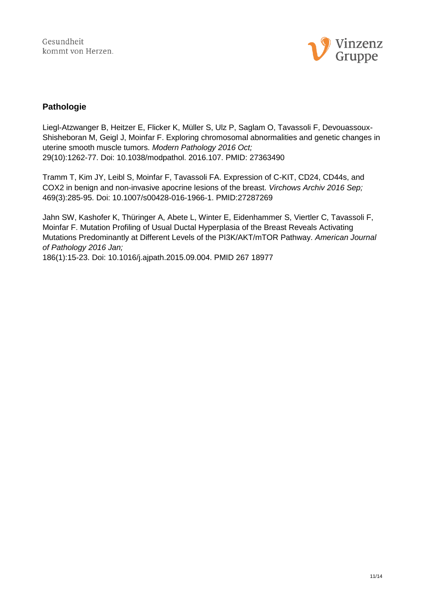

### <span id="page-10-0"></span>**Pathologie**

Liegl-Atzwanger B, Heitzer E, Flicker K, Müller S, Ulz P, Saglam O, Tavassoli F, Devouassoux-Shisheboran M, Geigl J, Moinfar F. Exploring chromosomal abnormalities and genetic changes in uterine smooth muscle tumors. *Modern Pathology 2016 Oct;* 29(10):1262-77. Doi: 10.1038/modpathol. 2016.107. PMID: 27363490

Tramm T, Kim JY, Leibl S, Moinfar F, Tavassoli FA. Expression of C-KIT, CD24, CD44s, and COX2 in benign and non-invasive apocrine lesions of the breast. *Virchows Archiv 2016 Sep;* 469(3):285-95. Doi: 10.1007/s00428-016-1966-1. PMID:27287269

Jahn SW, Kashofer K, Thüringer A, Abete L, Winter E, Eidenhammer S, Viertler C, Tavassoli F, Moinfar F. Mutation Profiling of Usual Ductal Hyperplasia of the Breast Reveals Activating Mutations Predominantly at Different Levels of the PI3K/AKT/mTOR Pathway. *American Journal of Pathology 2016 Jan;*

186(1):15-23. Doi: 10.1016/j.ajpath.2015.09.004. PMID 267 18977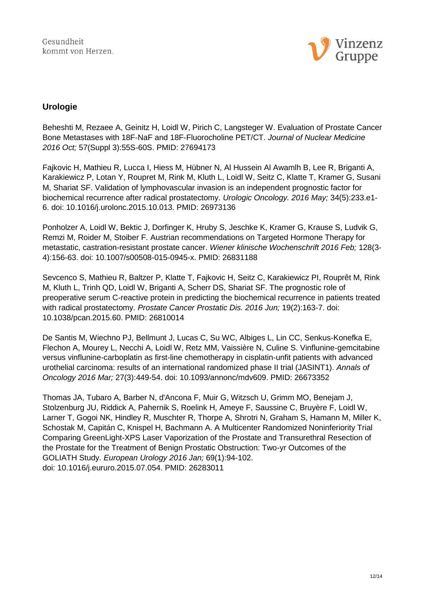

# <span id="page-11-0"></span>**Urologie**

Beheshti M, Rezaee A, Geinitz H, Loidl W, Pirich C, Langsteger W. Evaluation of Prostate Cancer Bone Metastases with 18F-NaF and 18F-Fluorocholine PET/CT. *Journal of Nuclear Medicine 2016 Oct;* 57(Suppl 3):55S-60S. PMID: 27694173

Fajkovic H, Mathieu R, Lucca I, Hiess M, Hübner N, Al Hussein Al Awamlh B, Lee R, Briganti A, Karakiewicz P, Lotan Y, Roupret M, Rink M, Kluth L, Loidl W, Seitz C, Klatte T, Kramer G, Susani M, Shariat SF. Validation of lymphovascular invasion is an independent prognostic factor for biochemical recurrence after radical prostatectomy. *Urologic Oncology. 2016 May;* 34(5):233.e1- 6. doi: 10.1016/j.urolonc.2015.10.013. PMID: 26973136

Ponholzer A, Loidl W, Bektic J, Dorfinger K, Hruby S, Jeschke K, Kramer G, Krause S, Ludvik G, Remzi M, Roider M, Stoiber F. Austrian recommendations on Targeted Hormone Therapy for metastatic, castration-resistant prostate cancer. *Wiener klinische Wochenschrift 2016 Feb;* 128(3- 4):156-63. doi: 10.1007/s00508-015-0945-x. PMID: 26831188

Sevcenco S, Mathieu R, Baltzer P, Klatte T, Fajkovic H, Seitz C, Karakiewicz PI, Rouprêt M, Rink M, Kluth L, Trinh QD, Loidl W, Briganti A, Scherr DS, Shariat SF. The prognostic role of preoperative serum C-reactive protein in predicting the biochemical recurrence in patients treated with radical prostatectomy. *Prostate Cancer Prostatic Dis. 2016 Jun;* 19(2):163-7. doi: 10.1038/pcan.2015.60. PMID: 26810014

De Santis M, Wiechno PJ, Bellmunt J, Lucas C, Su WC, Albiges L, Lin CC, Senkus-Konefka E, Flechon A, Mourey L, Necchi A, Loidl W, Retz MM, Vaissière N, Culine S. Vinflunine-gemcitabine versus vinflunine-carboplatin as first-line chemotherapy in cisplatin-unfit patients with advanced urothelial carcinoma: results of an international randomized phase II trial (JASINT1). *Annals of Oncology 2016 Mar;* 27(3):449-54. doi: 10.1093/annonc/mdv609. PMID: 26673352

Thomas JA, Tubaro A, Barber N, d'Ancona F, Muir G, Witzsch U, Grimm MO, Benejam J, Stolzenburg JU, Riddick A, Pahernik S, Roelink H, Ameye F, Saussine C, Bruyère F, Loidl W, Larner T, Gogoi NK, Hindley R, Muschter R, Thorpe A, Shrotri N, Graham S, Hamann M, Miller K, Schostak M, Capitán C, Knispel H, Bachmann A. A Multicenter Randomized Noninferiority Trial Comparing GreenLight-XPS Laser Vaporization of the Prostate and Transurethral Resection of the Prostate for the Treatment of Benign Prostatic Obstruction: Two-yr Outcomes of the GOLIATH Study. *European Urology 2016 Jan;* 69(1):94-102. doi: 10.1016/j.eururo.2015.07.054. PMID: 26283011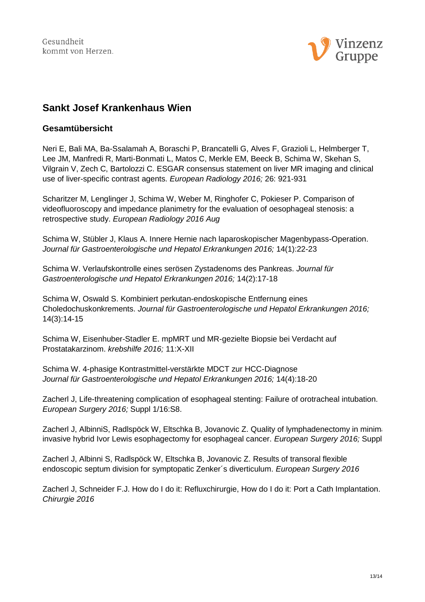

# <span id="page-12-0"></span>**Sankt Josef Krankenhaus Wien**

#### <span id="page-12-1"></span>**Gesamtübersicht**

Neri E, Bali MA, Ba-Ssalamah A, Boraschi P, Brancatelli G, Alves F, Grazioli L, Helmberger T, Lee JM, Manfredi R, Marti-Bonmati L, Matos C, Merkle EM, Beeck B, Schima W, Skehan S, Vilgrain V, Zech C, Bartolozzi C. ESGAR consensus statement on liver MR imaging and clinical use of liver-specific contrast agents. *European Radiology 2016;* 26: 921-931

Scharitzer M, Lenglinger J, Schima W, Weber M, Ringhofer C, Pokieser P. Comparison of videofluoroscopy and impedance planimetry for the evaluation of oesophageal stenosis: a retrospective study. *European Radiology 2016 Aug*

Schima W, Stübler J, Klaus A. Innere Hernie nach laparoskopischer Magenbypass-Operation. *Journal für Gastroenterologische und Hepatol Erkrankungen 2016;* 14(1):22-23

Schima W. Verlaufskontrolle eines serösen Zystadenoms des Pankreas. *Journal für Gastroenterologische und Hepatol Erkrankungen 2016;* 14(2):17-18

Schima W, Oswald S. Kombiniert perkutan-endoskopische Entfernung eines Choledochuskonkrements. *Journal für Gastroenterologische und Hepatol Erkrankungen 2016;*  14(3):14-15

Schima W, Eisenhuber-Stadler E. mpMRT und MR-gezielte Biopsie bei Verdacht auf Prostatakarzinom. *krebshilfe 2016;* 11:X-XII

Schima W. 4-phasige Kontrastmittel-verstärkte MDCT zur HCC-Diagnose *Journal für Gastroenterologische und Hepatol Erkrankungen 2016;* 14(4):18-20

Zacherl J, Life-threatening complication of esophageal stenting: Failure of orotracheal intubation. *European Surgery 2016;* Suppl 1/16:S8.

Zacherl J, AlbinniS, Radlspöck W, Eltschka B, Jovanovic Z. Quality of lymphadenectomy in minimally invasive hybrid Ivor Lewis esophagectomy for esophageal cancer. *European Surgery 2016;* Suppl

Zacherl J, Albinni S, Radlspöck W, Eltschka B, Jovanovic Z. Results of transoral flexible endoscopic septum division for symptopatic Zenker´s diverticulum. *European Surgery 2016*

Zacherl J, Schneider F.J. How do I do it: Refluxchirurgie, How do I do it: Port a Cath Implantation. *Chirurgie 2016*